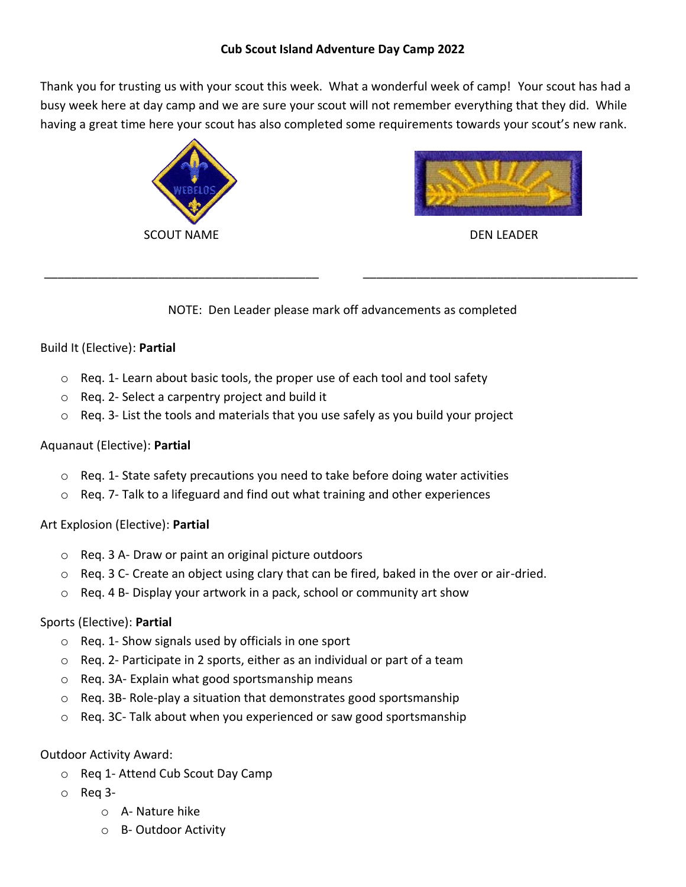Thank you for trusting us with your scout this week. What a wonderful week of camp! Your scout has had a busy week here at day camp and we are sure your scout will not remember everything that they did. While having a great time here your scout has also completed some requirements towards your scout's new rank.



\_\_\_\_\_\_\_\_\_\_\_\_\_\_\_\_\_\_\_\_\_\_\_\_\_\_\_\_\_\_\_\_\_\_\_\_\_\_\_\_\_



DEN LEADER

\_\_\_\_\_\_\_\_\_\_\_\_\_\_\_\_\_\_\_\_\_\_\_\_\_\_\_\_\_\_\_\_\_\_\_\_\_\_\_\_\_

NOTE: Den Leader please mark off advancements as completed

# Build It (Elective): **Partial**

- $\circ$  Req. 1- Learn about basic tools, the proper use of each tool and tool safety
- o Req. 2- Select a carpentry project and build it
- $\circ$  Reg. 3- List the tools and materials that you use safely as you build your project

### Aquanaut (Elective): **Partial**

- $\circ$  Reg. 1- State safety precautions you need to take before doing water activities
- $\circ$  Reg. 7- Talk to a lifeguard and find out what training and other experiences

# Art Explosion (Elective): **Partial**

- o Req. 3 A- Draw or paint an original picture outdoors
- $\circ$  Req. 3 C- Create an object using clary that can be fired, baked in the over or air-dried.
- o Req. 4 B- Display your artwork in a pack, school or community art show

# Sports (Elective): **Partial**

- o Req. 1- Show signals used by officials in one sport
- o Req. 2- Participate in 2 sports, either as an individual or part of a team
- o Req. 3A- Explain what good sportsmanship means
- o Req. 3B- Role-play a situation that demonstrates good sportsmanship
- o Req. 3C- Talk about when you experienced or saw good sportsmanship

### Outdoor Activity Award:

- o Req 1- Attend Cub Scout Day Camp
- o Req 3
	- o A- Nature hike
	- o B- Outdoor Activity